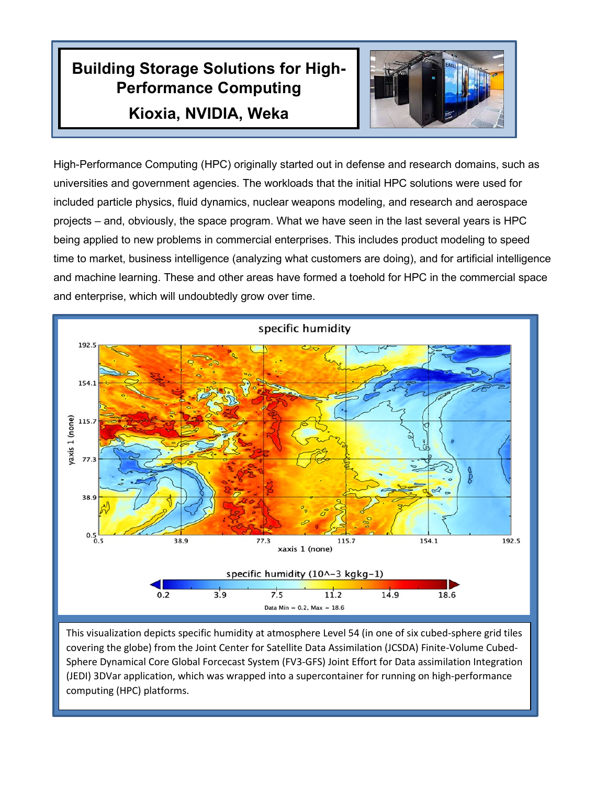## **Building Storage Solutions for High-Performance Computing Kioxia, NVIDIA, Weka**



High-Performance Computing (HPC) originally started out in defense and research domains, such as universities and government agencies. The workloads that the initial HPC solutions were used for included particle physics, fluid dynamics, nuclear weapons modeling, and research and aerospace projects – and, obviously, the space program. What we have seen in the last several years is HPC being applied to new problems in commercial enterprises. This includes product modeling to speed time to market, business intelligence (analyzing what customers are doing), and for artificial intelligence and machine learning. These and other areas have formed a toehold for HPC in the commercial space and enterprise, which will undoubtedly grow over time.



This visualization depicts specific humidity at atmosphere Level 54 (in one of six cubed-sphere grid tiles covering the globe) from the Joint Center for Satellite Data Assimilation (JCSDA) Finite-Volume Cubed-Sphere Dynamical Core Global Forcecast System (FV3-GFS) Joint Effort for Data assimilation Integration (JEDI) 3DVar application, which was wrapped into a supercontainer for running on high-performance computing (HPC) platforms.